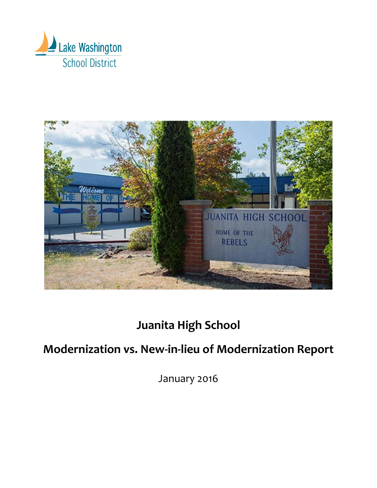



## **Juanita High School**

# **Modernization vs. New-in-lieu of Modernization Report**

January 2016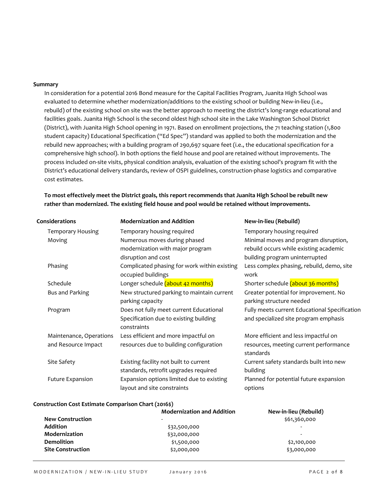## **Summary**

In consideration for a potential 2016 Bond measure for the Capital Facilities Program, Juanita High School was evaluated to determine whether modernization/additions to the existing school or building New-in-lieu (i.e., rebuild) of the existing school on site was the better approach to meeting the district's long-range educational and facilities goals. Juanita High School is the second oldest high school site in the Lake Washington School District (District), with Juanita High School opening in 1971. Based on enrollment projections, the 71 teaching station (1,800 student capacity) Educational Specification ("Ed Spec") standard was applied to both the modernization and the rebuild new approaches; with a building program of 290,697 square feet (i.e., the educational specification for a comprehensive high school). In both options the field house and pool are retained without improvements. The process included on-site visits, physical condition analysis, evaluation of the existing school's program fit with the District's educational delivery standards, review of OSPI guidelines, construction-phase logistics and comparative cost estimates.

**To most effectively meet the District goals, this report recommends that Juanita High School be rebuilt new rather than modernized. The existing field house and pool would be retained without improvements.**

| Considerations           | <b>Modernization and Addition</b>            | New-in-lieu (Rebuild)                               |
|--------------------------|----------------------------------------------|-----------------------------------------------------|
| <b>Temporary Housing</b> | Temporary housing required                   | Temporary housing required                          |
| Moving                   | Numerous moves during phased                 | Minimal moves and program disruption,               |
|                          | modernization with major program             | rebuild occurs while existing academic              |
|                          | disruption and cost                          | building program uninterrupted                      |
| Phasing                  | Complicated phasing for work within existing | Less complex phasing, rebuild, demo, site           |
|                          | occupied buildings                           | work                                                |
| Schedule                 | Longer schedule (about 42 months)            | Shorter schedule (about 36 months)                  |
| Bus and Parking          | New structured parking to maintain current   | Greater potential for improvement. No               |
|                          | parking capacity                             | parking structure needed                            |
| Program                  | Does not fully meet current Educational      | Fully meets current Educational Specification       |
|                          | Specification due to existing building       | and specialized site program emphasis               |
|                          | constraints                                  |                                                     |
| Maintenance, Operations  | Less efficient and more impactful on         | More efficient and less impactful on                |
| and Resource Impact      | resources due to building configuration      | resources, meeting current performance<br>standards |
| Site Safety              | Existing facility not built to current       | Current safety standards built into new             |
|                          | standards, retrofit upgrades required        | building                                            |
| <b>Future Expansion</b>  | Expansion options limited due to existing    | Planned for potential future expansion              |
|                          | layout and site constraints                  | options                                             |
|                          |                                              |                                                     |

#### **Construction Cost Estimate Comparison Chart (2016\$)**

|                          | <b>Modernization and Addition</b> | New-in-lieu (Rebuild)    |
|--------------------------|-----------------------------------|--------------------------|
| <b>New Construction</b>  | $\overline{\phantom{a}}$          | \$61,360,000             |
| <b>Addition</b>          | \$32,500,000                      |                          |
| Modernization            | \$32,000,000                      | $\overline{\phantom{0}}$ |
| <b>Demolition</b>        | \$1,500,000                       | \$2,100,000              |
| <b>Site Construction</b> | \$2,000,000                       | \$3,000,000              |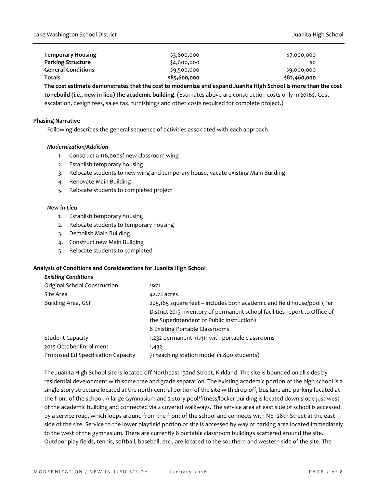| \$82,460,000 |
|--------------|
| \$9,000,000  |
| \$0          |
| \$7,000,000  |
|              |

**The cost estimate demonstrates that the cost to modernize and expand Juanita High School is more than the cost to rebuild (i.e., new in lieu) the academic building.** (Estimates above are construction costs only in 2016\$. Cost escalation, design fees, sales tax, furnishings and other costs required for complete project.)

#### **Phasing Narrative**

Following describes the general sequence of activities associated with each approach.

## *Modernization/Addition*

- 1. Construct a 116,000sf new classroom wing
- 2. Establish temporary housing
- 3. Relocate students to new wing and temporary house, vacate existing Main Building
- 4. Renovate Main Building
- 5. Relocate students to completed project

#### *New-in-Lieu*

- 1. Establish temporary housing
- 2. Relocate students to temporary housing
- 3. Demolish Main Building
- 4. Construct new Main Building
- 5. Relocate students to completed

#### **Analysis of Conditions and Considerations for Juanita High School**

## *Existing Conditions*

| Original School Construction       | 1971                                                                       |
|------------------------------------|----------------------------------------------------------------------------|
| Site Area                          | 42.72 acres                                                                |
| Building Area, GSF                 | 205,165 square feet – includes both academic and field house/pool (Per     |
|                                    | District 2013 inventory of permanent school facilities report to Office of |
|                                    | the Superintendent of Public Instruction)                                  |
|                                    | 8 Existing Portable Classrooms                                             |
| <b>Student Capacity</b>            | 1,232 permanent /1,411 with portable classrooms                            |
| 2015 October Enrollment            | 1,432                                                                      |
| Proposed Ed Specification Capacity | 71 teaching station model (1,800 students)                                 |
|                                    |                                                                            |

The Juanita High School site is located off Northeast 132nd Street, Kirkland. The site is bounded on all sides by residential development with some tree and grade separation. The existing academic portion of the high school is a single story structure located at the north-central portion of the site with drop-off, bus lane and parking located at the front of the school. A large Gymnasium and 2 story pool/fitness/locker building is located down slope just west of the academic building and connected via 2 covered walkways. The service area at east side of school is accessed by a service road, which loops around from the front of the school and connects with NE 128th Street at the east side of the site. Service to the lower playfield portion of site is accessed by way of parking area located immediately to the west of the gymnasium. There are currently 8 portable classroom buildings scattered around the site. Outdoor play fields, tennis, softball, baseball, etc., are located to the southern and western side of the site. The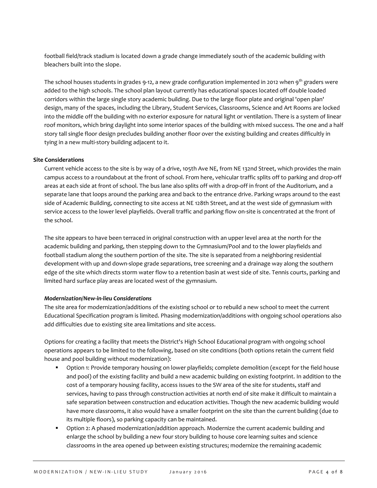football field/track stadium is located down a grade change immediately south of the academic building with bleachers built into the slope.

The school houses students in grades 9-12, a new grade configuration implemented in 2012 when  $9^{th}$  graders were added to the high schools. The school plan layout currently has educational spaces located off double loaded corridors within the large single story academic building. Due to the large floor plate and original 'open plan' design, many of the spaces, including the Library, Student Services, Classrooms, Science and Art Rooms are locked into the middle off the building with no exterior exposure for natural light or ventilation. There is a system of linear roof monitors, which bring daylight into some interior spaces of the building with mixed success. The one and a half story tall single floor design precludes building another floor over the existing building and creates difficultly in tying in a new multi-story building adjacent to it.

## **Site Considerations**

Current vehicle access to the site is by way of a drive, 105th Ave NE, from NE 132nd Street, which provides the main campus access to a roundabout at the front of school. From here, vehicular traffic splits off to parking and drop-off areas at each side at front of school. The bus lane also splits off with a drop-off in front of the Auditorium, and a separate lane that loops around the parking area and back to the entrance drive. Parking wraps around to the east side of Academic Building, connecting to site access at NE 128th Street, and at the west side of gymnasium with service access to the lower level playfields. Overall traffic and parking flow on-site is concentrated at the front of the school.

The site appears to have been terraced in original construction with an upper level area at the north for the academic building and parking, then stepping down to the Gymnasium/Pool and to the lower playfields and football stadium along the southern portion of the site. The site is separated from a neighboring residential development with up and down-slope grade separations, tree screening and a drainage way along the southern edge of the site which directs storm water flow to a retention basin at west side of site. Tennis courts, parking and limited hard surface play areas are located west of the gymnasium.

## *Modernization/New-in-lieu Considerations*

The site area for modernization/additions of the existing school or to rebuild a new school to meet the current Educational Specification program is limited. Phasing modernization/additions with ongoing school operations also add difficulties due to existing site area limitations and site access.

Options for creating a facility that meets the District's High School Educational program with ongoing school operations appears to be limited to the following, based on site conditions (both options retain the current field house and pool building without modernization):

- **D** Option 1: Provide temporary housing on lower playfields; complete demolition (except for the field house and pool) of the existing facility and build a new academic building on existing footprint. In addition to the cost of a temporary housing facility, access issues to the SW area of the site for students, staff and services, having to pass through construction activities at north end of site make it difficult to maintain a safe separation between construction and education activities. Though the new academic building would have more classrooms, it also would have a smaller footprint on the site than the current building (due to its multiple floors), so parking capacity can be maintained.
- Option 2: A phased modernization/addition approach. Modernize the current academic building and enlarge the school by building a new four story building to house core learning suites and science classrooms in the area opened up between existing structures; modernize the remaining academic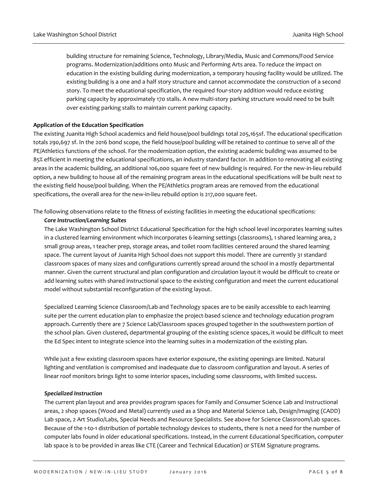building structure for remaining Science, Technology, Library/Media, Music and Commons/Food Service programs. Modernization/additions onto Music and Performing Arts area. To reduce the impact on education in the existing building during modernization, a temporary housing facility would be utilized. The existing building is a one and a half story structure and cannot accommodate the construction of a second story. To meet the educational specification, the required four-story addition would reduce existing parking capacity by approximately 170 stalls. A new multi-story parking structure would need to be built over existing parking stalls to maintain current parking capacity.

## **Application of the Education Specification**

The existing Juanita High School academics and field house/pool buildings total 205,165sf. The educational specification totals 290,697 sf. In the 2016 bond scope, the field house/pool building will be retained to continue to serve all of the PE/Athletics functions of the school. For the modernization option, the existing academic building was assumed to be 85% efficient in meeting the educational specifications, an industry standard factor. In addition to renovating all existing areas in the academic building, an additional 106,000 square feet of new building is required. For the new-in-lieu rebuild option, a new building to house all of the remaining program areas in the educational specifications will be built next to the existing field house/pool building. When the PE/Athletics program areas are removed from the educational specifications, the overall area for the new-in-lieu rebuild option is 217,000 square feet.

The following observations relate to the fitness of existing facilities in meeting the educational specifications:

## *Core Instruction/Learning Suites*

The Lake Washington School District Educational Specification for the high school level incorporates learning suites in a clustered learning environment which incorporates 6 learning settings (classrooms), 1 shared learning area, 2 small group areas, 1 teacher prep, storage areas, and toilet room facilities centered around the shared learning space. The current layout of Juanita High School does not support this model. There are currently 31 standard classroom spaces of many sizes and configurations currently spread around the school in a mostly departmental manner. Given the current structural and plan configuration and circulation layout it would be difficult to create or add learning suites with shared instructional space to the existing configuration and meet the current educational model without substantial reconfiguration of the existing layout.

Specialized Learning Science Classroom/Lab and Technology spaces are to be easily accessible to each learning suite per the current education plan to emphasize the project-based science and technology education program approach. Currently there are 7 Science Lab/Classroom spaces grouped together in the southwestern portion of the school plan. Given clustered, departmental grouping of the existing science spaces, it would be difficult to meet the Ed Spec intent to integrate science into the learning suites in a modernization of the existing plan.

While just a few existing classroom spaces have exterior exposure, the existing openings are limited. Natural lighting and ventilation is compromised and inadequate due to classroom configuration and layout. A series of linear roof monitors brings light to some interior spaces, including some classrooms, with limited success.

## *Specialized Instruction*

The current plan layout and area provides program spaces for Family and Consumer Science Lab and Instructional areas, 2 shop spaces (Wood and Metal) currently used as a Shop and Material Science Lab, Design/Imaging (CADD) Lab space, 2 Art Studio/Labs, Special Needs and Resource Specialists. See above for Science Classroom/Lab spaces. Because of the 1-to-1 distribution of portable technology devices to students, there is not a need for the number of computer labs found in older educational specifications. Instead, in the current Educational Specification, computer lab space is to be provided in areas like CTE (Career and Technical Education) or STEM Signature programs.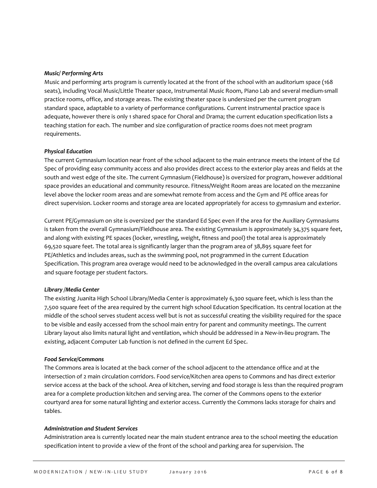## *Music/ Performing Arts*

Music and performing arts program is currently located at the front of the school with an auditorium space (168 seats), including Vocal Music/Little Theater space, Instrumental Music Room, Piano Lab and several medium-small practice rooms, office, and storage areas. The existing theater space is undersized per the current program standard space, adaptable to a variety of performance configurations. Current instrumental practice space is adequate, however there is only 1 shared space for Choral and Drama; the current education specification lists a teaching station for each. The number and size configuration of practice rooms does not meet program requirements.

## *Physical Education*

The current Gymnasium location near front of the school adjacent to the main entrance meets the intent of the Ed Spec of providing easy community access and also provides direct access to the exterior play areas and fields at the south and west edge of the site. The current Gymnasium (Fieldhouse) is oversized for program, however additional space provides an educational and community resource. Fitness/Weight Room areas are located on the mezzanine level above the locker room areas and are somewhat remote from access and the Gym and PE office areas for direct supervision. Locker rooms and storage area are located appropriately for access to gymnasium and exterior.

Current PE/Gymnasium on site is oversized per the standard Ed Spec even if the area for the Auxiliary Gymnasiums is taken from the overall Gymnasium/Fieldhouse area. The existing Gymnasium is approximately 34,375 square feet, and along with existing PE spaces (locker, wrestling, weight, fitness and pool) the total area is approximately 69,520 square feet. The total area is significantly larger than the program area of 38,895 square feet for PE/Athletics and includes areas, such as the swimming pool, not programmed in the current Education Specification. This program area overage would need to be acknowledged in the overall campus area calculations and square footage per student factors.

## *Library /Media Center*

The existing Juanita High School Library/Media Center is approximately 6,300 square feet, which is less than the 7,500 square feet of the area required by the current high school Education Specification. Its central location at the middle of the school serves student access well but is not as successful creating the visibility required for the space to be visible and easily accessed from the school main entry for parent and community meetings. The current Library layout also limits natural light and ventilation, which should be addressed in a New-in-lieu program. The existing, adjacent Computer Lab function is not defined in the current Ed Spec.

#### *Food Service/Commons*

The Commons area is located at the back corner of the school adjacent to the attendance office and at the intersection of 2 main circulation corridors. Food service/Kitchen area opens to Commons and has direct exterior service access at the back of the school. Area of kitchen, serving and food storage is less than the required program area for a complete production kitchen and serving area. The corner of the Commons opens to the exterior courtyard area for some natural lighting and exterior access. Currently the Commons lacks storage for chairs and tables.

#### *Administration and Student Services*

Administration area is currently located near the main student entrance area to the school meeting the education specification intent to provide a view of the front of the school and parking area for supervision. The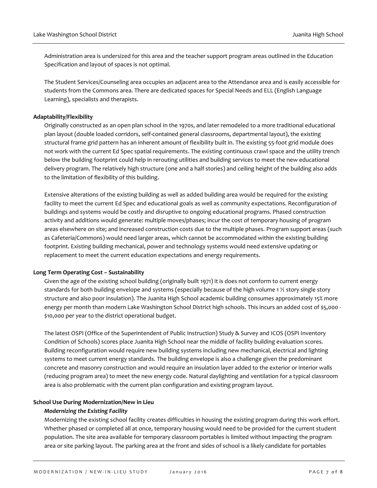Administration area is undersized for this area and the teacher support program areas outlined in the Education Specification and layout of spaces is not optimal.

The Student Services/Counseling area occupies an adjacent area to the Attendance area and is easily accessible for students from the Commons area. There are dedicated spaces for Special Needs and ELL (English Language Learning), specialists and therapists.

## **Adaptability/Flexibility**

Originally constructed as an open plan school in the 1970s, and later remodeled to a more traditional educational plan layout (double loaded corridors, self-contained general classrooms, departmental layout), the existing structural frame grid pattern has an inherent amount of flexibility built in. The existing 55-foot grid module does not work with the current Ed Spec spatial requirements. The existing continuous crawl space and the utility trench below the building footprint could help in rerouting utilities and building services to meet the new educational delivery program. The relatively high structure (one and a half stories) and ceiling height of the building also adds to the limitation of flexibility of this building.

Extensive alterations of the existing building as well as added building area would be required for the existing facility to meet the current Ed Spec and educational goals as well as community expectations. Reconfiguration of buildings and systems would be costly and disruptive to ongoing educational programs. Phased construction activity and additions would generate: multiple moves/phases; incur the cost of temporary housing of program areas elsewhere on site; and increased construction costs due to the multiple phases. Program support areas (such as Cafeteria/Commons) would need larger areas, which cannot be accommodated within the existing building footprint. Existing building mechanical, power and technology systems would need extensive updating or replacement to meet the current education expectations and energy requirements.

#### **Long Term Operating Cost – Sustainability**

Given the age of the existing school building (originally built 1971) it is does not conform to current energy standards for both building envelope and systems (especially because of the high volume 1 ½ story single story structure and also poor insulation). The Juanita High School academic building consumes approximately 15% more energy per month than modern Lake Washington School District high schools. This incurs an added cost of \$5,000 - \$10,000 per year to the district operational budget.

The latest OSPI (Office of the Superintendent of Public Instruction) Study & Survey and ICOS (OSPI Inventory Condition of Schools) scores place Juanita High School near the middle of facility building evaluation scores. Building reconfiguration would require new building systems including new mechanical, electrical and lighting systems to meet current energy standards. The building envelope is also a challenge given the predominant concrete and masonry construction and would require an insulation layer added to the exterior or interior walls (reducing program area) to meet the new energy code. Natural daylighting and ventilation for a typical classroom area is also problematic with the current plan configuration and existing program layout.

#### **School Use During Modernization/New in Lieu**

#### *Modernizing the Existing Facility*

Modernizing the existing school facility creates difficulties in housing the existing program during this work effort. Whether phased or completed all at once, temporary housing would need to be provided for the current student population. The site area available for temporary classroom portables is limited without impacting the program area or site parking layout. The parking area at the front and sides of school is a likely candidate for portables